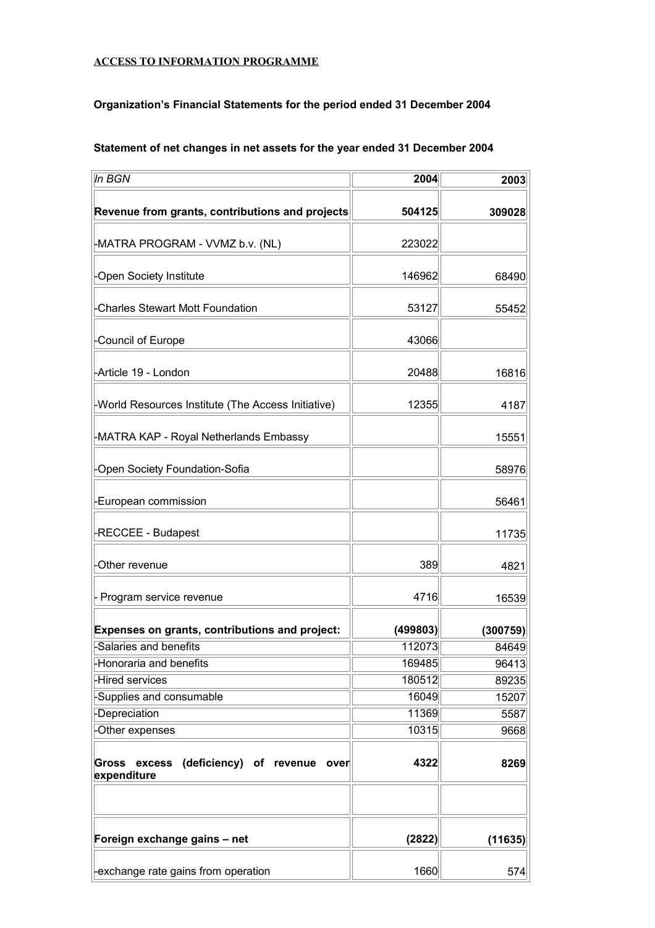#### **ACCESS TO INFORMATION PROGRAMME**

#### **Organization's Financial Statements for the period ended 31 December 2004**

| In BGN                                                             | 2004     | 2003     |
|--------------------------------------------------------------------|----------|----------|
| Revenue from grants, contributions and projects                    | 504125   | 309028   |
| -MATRA PROGRAM - VVMZ b.v. (NL)                                    | 223022   |          |
| -Open Society Institute                                            | 146962   | 68490    |
| <b>Charles Stewart Mott Foundation</b>                             | 53127    | 55452    |
| Council of Europe                                                  | 43066    |          |
| -Article 19 - London                                               | 20488    | 16816    |
| -World Resources Institute (The Access Initiative)                 | 12355    | 4187     |
| -MATRA KAP - Royal Netherlands Embassy                             |          | 15551    |
| Open Society Foundation-Sofia                                      |          | 58976    |
| -European commission                                               |          | 56461    |
| -RECCEE - Budapest                                                 |          | 11735    |
| Other revenue                                                      | 389      | 4821     |
| Program service revenue                                            | 4716     | 16539    |
| Expenses on grants, contributions and project:                     | (499803) | (300759) |
| Salaries and benefits                                              | 112073   | 84649    |
| -Honoraria and benefits                                            | 169485   | 96413    |
| -Hired services                                                    | 180512   | 89235    |
| -Supplies and consumable                                           | 16049    | 15207    |
| -Depreciation                                                      | 11369    | 5587     |
| Other expenses                                                     | 10315    | 9668     |
| excess (deficiency) of revenue over<br><b>Gross</b><br>expenditure | 4322     | 8269     |
| Foreign exchange gains - net                                       | (2822)   | (11635)  |
| -exchange rate gains from operation                                | 1660     | 574      |

## **Statement of net changes in net assets for the year ended 31 December 2004**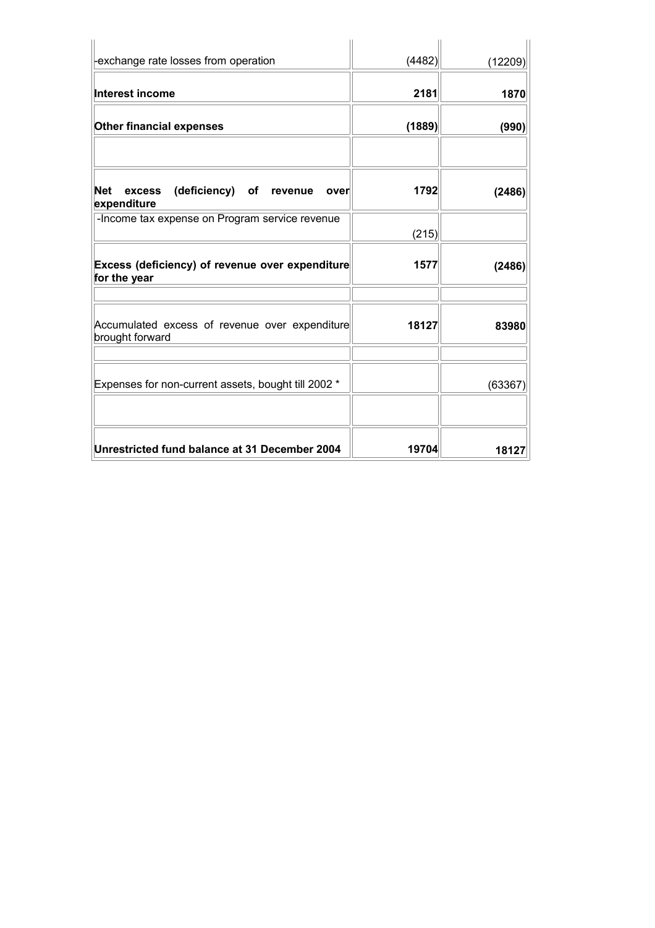| -exchange rate losses from operation                                      | (4482) | (12209) |
|---------------------------------------------------------------------------|--------|---------|
| <b>Interest income</b>                                                    | 2181   | 1870    |
| <b>Other financial expenses</b>                                           | (1889) | (990)   |
|                                                                           |        |         |
| <b>Net</b><br>(deficiency) of<br>excess<br>revenue<br>over<br>expenditure | 1792   | (2486)  |
| -Income tax expense on Program service revenue                            | (215)  |         |
| Excess (deficiency) of revenue over expenditure<br>for the year           | 1577   | (2486)  |
| Accumulated excess of revenue over expenditure<br>brought forward         | 18127  | 83980   |
| Expenses for non-current assets, bought till 2002 *                       |        | (63367) |
| Unrestricted fund balance at 31 December 2004                             | 19704  | 18127   |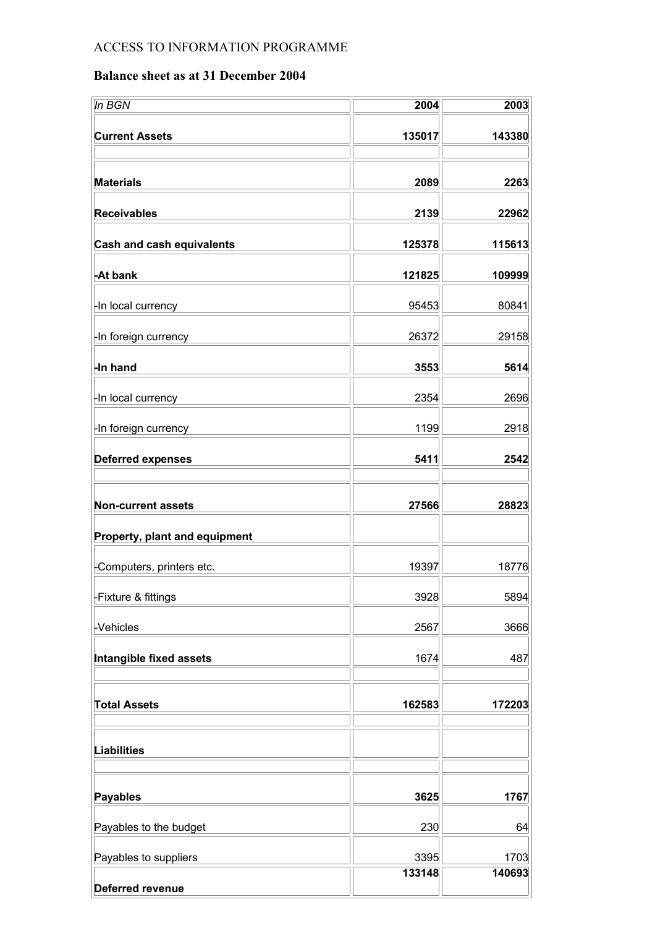# ACCESS TO INFORMATION PROGRAMME

## **Balance sheet as at 31 December 2004**

| In BGN                           | 2004           | 2003           |
|----------------------------------|----------------|----------------|
| <b>Current Assets</b>            | 135017         | 143380         |
|                                  |                |                |
| <b>Materials</b>                 | 2089           | 2263           |
| <b>Receivables</b>               | 2139           | 22962          |
| <b>Cash and cash equivalents</b> | 125378         | 115613         |
| -At bank                         | 121825         | 109999         |
| -In local currency               | 95453          | 80841          |
| -In foreign currency             | 26372          | 29158          |
| -In hand                         | 3553           | 5614           |
| -In local currency               | 2354           | 2696           |
| -In foreign currency             | 1199           | 2918           |
| <b>Deferred expenses</b>         | 5411           | 2542           |
|                                  |                |                |
| <b>Non-current assets</b>        | 27566          | 28823          |
| Property, plant and equipment    |                |                |
| -Computers, printers etc.        | 19397          | 18776          |
| -Fixture & fittings              | 3928           | 5894           |
| -Vehicles                        | 2567           | 3666           |
| Intangible fixed assets          | 1674           | 487            |
| <b>Total Assets</b>              | 162583         | 172203         |
|                                  |                |                |
| <b>Liabilities</b>               |                |                |
| <b>Payables</b>                  | 3625           | 1767           |
| Payables to the budget           | 230            | 64             |
| Payables to suppliers            | 3395<br>133148 | 1703<br>140693 |
| <b>Deferred revenue</b>          |                |                |